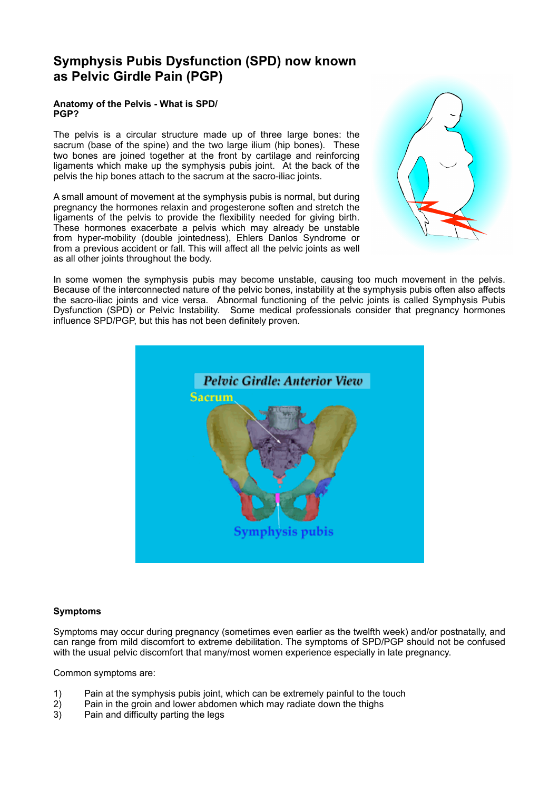# **Symphysis Pubis Dysfunction (SPD) now known as Pelvic Girdle Pain (PGP)**

## **Anatomy of the Pelvis - What is SPD/ PGP?**

The pelvis is a circular structure made up of three large bones: the sacrum (base of the spine) and the two large ilium (hip bones). These two bones are joined together at the front by cartilage and reinforcing ligaments which make up the symphysis pubis joint. At the back of the pelvis the hip bones attach to the sacrum at the sacro-iliac joints.

A small amount of movement at the symphysis pubis is normal, but during pregnancy the hormones relaxin and progesterone soften and stretch the ligaments of the pelvis to provide the flexibility needed for giving birth. These hormones exacerbate a pelvis which may already be unstable from hyper-mobility (double jointedness), Ehlers Danlos Syndrome or from a previous accident or fall. This will affect all the pelvic joints as well as all other joints throughout the body.



In some women the symphysis pubis may become unstable, causing too much movement in the pelvis. Because of the interconnected nature of the pelvic bones, instability at the symphysis pubis often also affects the sacro-iliac joints and vice versa. Abnormal functioning of the pelvic joints is called Symphysis Pubis Dysfunction (SPD) or Pelvic Instability. Some medical professionals consider that pregnancy hormones influence SPD/PGP, but this has not been definitely proven.



## **Symptoms**

Symptoms may occur during pregnancy (sometimes even earlier as the twelfth week) and/or postnatally, and can range from mild discomfort to extreme debilitation. The symptoms of SPD/PGP should not be confused with the usual pelvic discomfort that many/most women experience especially in late pregnancy.

Common symptoms are:

- 1) Pain at the symphysis pubis joint, which can be extremely painful to the touch 2) Pain in the groin and lower abdomen which may radiate down the thighs
- Pain in the groin and lower abdomen which may radiate down the thighs
- 3) Pain and difficulty parting the legs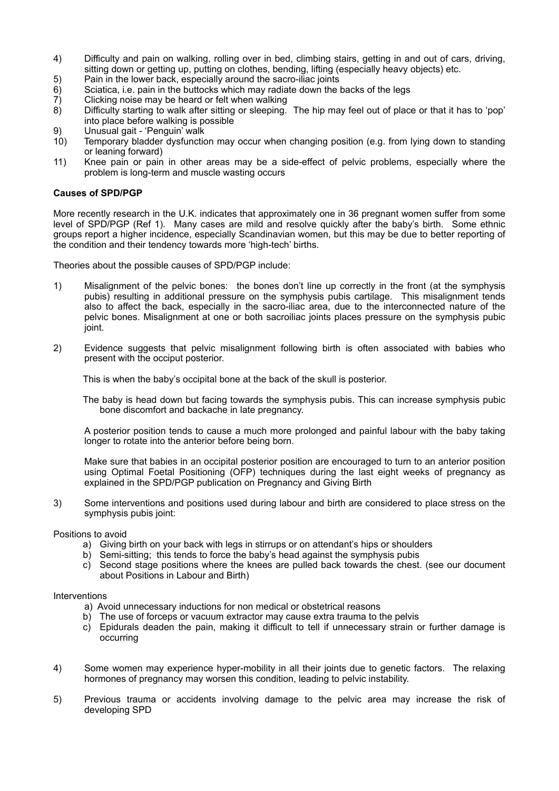- 4) Difficulty and pain on walking, rolling over in bed, climbing stairs, getting in and out of cars, driving, sitting down or getting up, putting on clothes, bending, lifting (especially heavy objects) etc.
- 5) Pain in the lower back, especially around the sacro-iliac joints
- 6) Sciatica, i.e. pain in the buttocks which may radiate down the backs of the legs<br>
7) Clicking noise may be heard or felt when walking<br>
8) Difficulty starting to walk after sitting or sleeping. The hip may feel out of pl
- Clicking noise may be heard or felt when walking
- 8) Difficulty starting to walk after sitting or sleeping. The hip may feel out of place or that it has to 'pop' into place before walking is possible
- 9) Unusual gait 'Penguin' walk<br>10) Temporary bladder dysfunctic
- Temporary bladder dysfunction may occur when changing position (e.g. from lying down to standing or leaning forward)
- 11) Knee pain or pain in other areas may be a side-effect of pelvic problems, especially where the problem is long-term and muscle wasting occurs

### **Causes of SPD/PGP**

More recently research in the U.K. indicates that approximately one in 36 pregnant women suffer from some level of SPD/PGP (Ref 1). Many cases are mild and resolve quickly after the baby's birth. Some ethnic groups report a higher incidence, especially Scandinavian women, but this may be due to better reporting of the condition and their tendency towards more 'high-tech' births.

Theories about the possible causes of SPD/PGP include:

- 1) Misalignment of the pelvic bones: the bones don't line up correctly in the front (at the symphysis pubis) resulting in additional pressure on the symphysis pubis cartilage. This misalignment tends also to affect the back, especially in the sacro-iliac area, due to the interconnected nature of the pelvic bones. Misalignment at one or both sacroiliac joints places pressure on the symphysis pubic joint.
- 2) Evidence suggests that pelvic misalignment following birth is often associated with babies who present with the occiput posterior.

This is when the baby's occipital bone at the back of the skull is posterior.

The baby is head down but facing towards the symphysis pubis. This can increase symphysis pubic bone discomfort and backache in late pregnancy.

A posterior position tends to cause a much more prolonged and painful labour with the baby taking longer to rotate into the anterior before being born.

Make sure that babies in an occipital posterior position are encouraged to turn to an anterior position using Optimal Foetal Positioning (OFP) techniques during the last eight weeks of pregnancy as explained in the SPD/PGP publication on Pregnancy and Giving Birth

3) Some interventions and positions used during labour and birth are considered to place stress on the symphysis pubis joint:

#### Positions to avoid

- a) Giving birth on your back with legs in stirrups or on attendant's hips or shoulders
- b) Semi-sitting; this tends to force the baby's head against the symphysis pubis
- c) Second stage positions where the knees are pulled back towards the chest. (see our document about Positions in Labour and Birth)

#### Interventions

- a) Avoid unnecessary inductions for non medical or obstetrical reasons
- b) The use of forceps or vacuum extractor may cause extra trauma to the pelvis
- c) Epidurals deaden the pain, making it difficult to tell if unnecessary strain or further damage is occurring
- 4) Some women may experience hyper-mobility in all their joints due to genetic factors. The relaxing hormones of pregnancy may worsen this condition, leading to pelvic instability.
- 5) Previous trauma or accidents involving damage to the pelvic area may increase the risk of developing SPD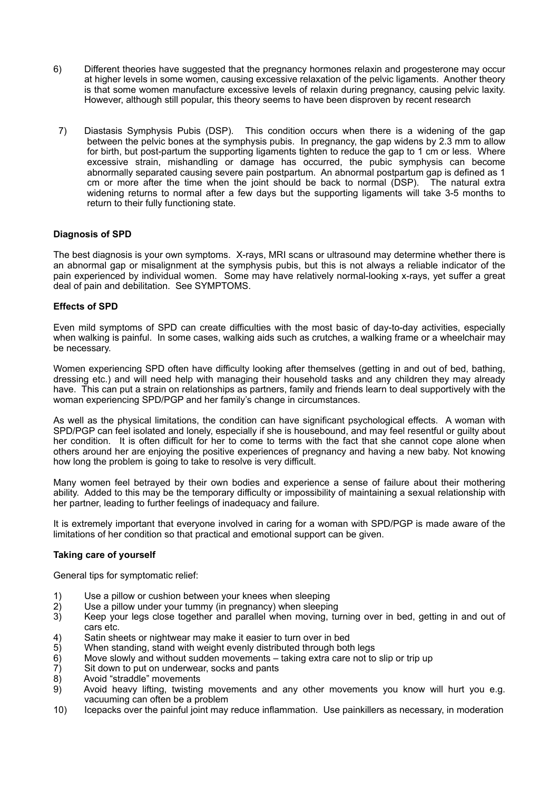- 6) Different theories have suggested that the pregnancy hormones relaxin and progesterone may occur at higher levels in some women, causing excessive relaxation of the pelvic ligaments. Another theory is that some women manufacture excessive levels of relaxin during pregnancy, causing pelvic laxity. However, although still popular, this theory seems to have been disproven by recent research
- 7) Diastasis Symphysis Pubis (DSP). This condition occurs when there is a widening of the gap between the pelvic bones at the symphysis pubis. In pregnancy, the gap widens by 2.3 mm to allow for birth, but post-partum the supporting ligaments tighten to reduce the gap to 1 cm or less. Where excessive strain, mishandling or damage has occurred, the pubic symphysis can become abnormally separated causing severe pain postpartum. An abnormal postpartum gap is defined as 1 cm or more after the time when the joint should be back to normal (DSP). The natural extra widening returns to normal after a few days but the supporting ligaments will take 3-5 months to return to their fully functioning state.

### **Diagnosis of SPD**

The best diagnosis is your own symptoms. X-rays, MRI scans or ultrasound may determine whether there is an abnormal gap or misalignment at the symphysis pubis, but this is not always a reliable indicator of the pain experienced by individual women. Some may have relatively normal-looking x-rays, yet suffer a great deal of pain and debilitation. See SYMPTOMS.

### **Effects of SPD**

Even mild symptoms of SPD can create difficulties with the most basic of day-to-day activities, especially when walking is painful. In some cases, walking aids such as crutches, a walking frame or a wheelchair may be necessary.

Women experiencing SPD often have difficulty looking after themselves (getting in and out of bed, bathing, dressing etc.) and will need help with managing their household tasks and any children they may already have. This can put a strain on relationships as partners, family and friends learn to deal supportively with the woman experiencing SPD/PGP and her family's change in circumstances.

As well as the physical limitations, the condition can have significant psychological effects. A woman with SPD/PGP can feel isolated and lonely, especially if she is housebound, and may feel resentful or guilty about her condition. It is often difficult for her to come to terms with the fact that she cannot cope alone when others around her are enjoying the positive experiences of pregnancy and having a new baby. Not knowing how long the problem is going to take to resolve is very difficult.

Many women feel betrayed by their own bodies and experience a sense of failure about their mothering ability. Added to this may be the temporary difficulty or impossibility of maintaining a sexual relationship with her partner, leading to further feelings of inadequacy and failure.

It is extremely important that everyone involved in caring for a woman with SPD/PGP is made aware of the limitations of her condition so that practical and emotional support can be given.

## **Taking care of yourself**

General tips for symptomatic relief:

- 1) Use a pillow or cushion between your knees when sleeping
- 2) Use a pillow under your tummy (in pregnancy) when sleeping<br>3) Keep your legs close together and parallel when moving, tu
- Keep your legs close together and parallel when moving, turning over in bed, getting in and out of cars etc.
- 4) Satin sheets or nightwear may make it easier to turn over in bed<br>5) When standing, stand with weight evenly distributed through bot
- When standing, stand with weight evenly distributed through both legs
- 6) Move slowly and without sudden movements taking extra care not to slip or trip up
- 7) Sit down to put on underwear, socks and pants
- Avoid "straddle" movements
- 9) Avoid heavy lifting, twisting movements and any other movements you know will hurt you e.g. vacuuming can often be a problem
- 10) Icepacks over the painful joint may reduce inflammation. Use painkillers as necessary, in moderation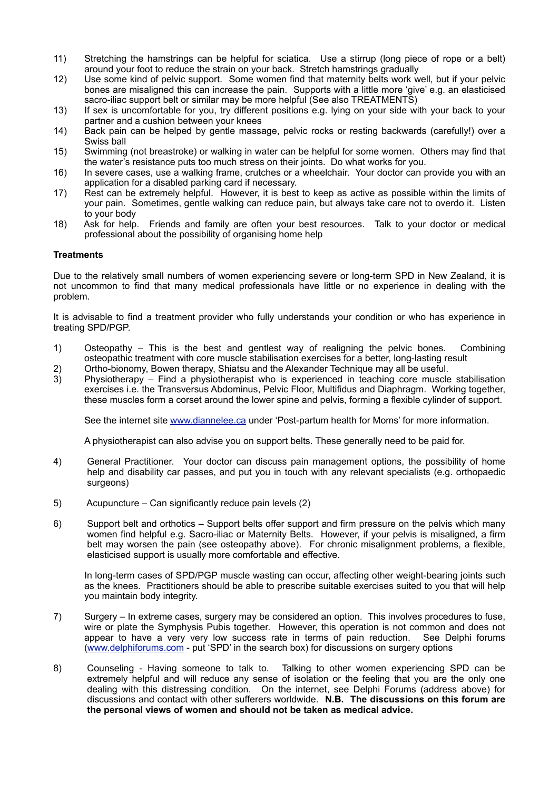- 11) Stretching the hamstrings can be helpful for sciatica. Use a stirrup (long piece of rope or a belt) around your foot to reduce the strain on your back. Stretch hamstrings gradually
- 12) Use some kind of pelvic support. Some women find that maternity belts work well, but if your pelvic bones are misaligned this can increase the pain. Supports with a little more 'give' e.g. an elasticised sacro-iliac support belt or similar may be more helpful (See also TREATMENTS)
- 13) If sex is uncomfortable for you, try different positions e.g. lying on your side with your back to your partner and a cushion between your knees
- 14) Back pain can be helped by gentle massage, pelvic rocks or resting backwards (carefully!) over a Swiss ball
- 15) Swimming (not breastroke) or walking in water can be helpful for some women. Others may find that the water's resistance puts too much stress on their joints. Do what works for you.
- 16) In severe cases, use a walking frame, crutches or a wheelchair. Your doctor can provide you with an application for a disabled parking card if necessary.
- 17) Rest can be extremely helpful. However, it is best to keep as active as possible within the limits of your pain. Sometimes, gentle walking can reduce pain, but always take care not to overdo it. Listen to your body
- 18) Ask for help. Friends and family are often your best resources. Talk to your doctor or medical professional about the possibility of organising home help

### **Treatments**

Due to the relatively small numbers of women experiencing severe or long-term SPD in New Zealand, it is not uncommon to find that many medical professionals have little or no experience in dealing with the problem.

It is advisable to find a treatment provider who fully understands your condition or who has experience in treating SPD/PGP.

- 1) Osteopathy This is the best and gentlest way of realigning the pelvic bones. Combining osteopathic treatment with core muscle stabilisation exercises for a better, long-lasting result
- 2) Ortho-bionomy, Bowen therapy, Shiatsu and the Alexander Technique may all be useful.
- 3) Physiotherapy Find a physiotherapist who is experienced in teaching core muscle stabilisation exercises i.e. the Transversus Abdominus, Pelvic Floor, Multifidus and Diaphragm. Working together, these muscles form a corset around the lower spine and pelvis, forming a flexible cylinder of support.

See the internet site [www.diannelee.ca](http://www.diannelee.ca) under 'Post-partum health for Moms' for more information.

A physiotherapist can also advise you on support belts. These generally need to be paid for.

- 4) General Practitioner. Your doctor can discuss pain management options, the possibility of home help and disability car passes, and put you in touch with any relevant specialists (e.g. orthopaedic surgeons)
- 5) Acupuncture Can significantly reduce pain levels (2)
- 6) Support belt and orthotics Support belts offer support and firm pressure on the pelvis which many women find helpful e.g. Sacro-iliac or Maternity Belts. However, if your pelvis is misaligned, a firm belt may worsen the pain (see osteopathy above). For chronic misalignment problems, a flexible, elasticised support is usually more comfortable and effective.

In long-term cases of SPD/PGP muscle wasting can occur, affecting other weight-bearing joints such as the knees. Practitioners should be able to prescribe suitable exercises suited to you that will help you maintain body integrity.

- 7) Surgery In extreme cases, surgery may be considered an option. This involves procedures to fuse, wire or plate the Symphysis Pubis together. However, this operation is not common and does not appear to have a very very low success rate in terms of pain reduction. See Delphi forums [\(www.delphiforums.com](http://www.delphiforums.com) - put 'SPD' in the search box) for discussions on surgery options
- 8) Counseling Having someone to talk to. Talking to other women experiencing SPD can be extremely helpful and will reduce any sense of isolation or the feeling that you are the only one dealing with this distressing condition. On the internet, see Delphi Forums (address above) for discussions and contact with other sufferers worldwide. **N.B. The discussions on this forum are the personal views of women and should not be taken as medical advice.**